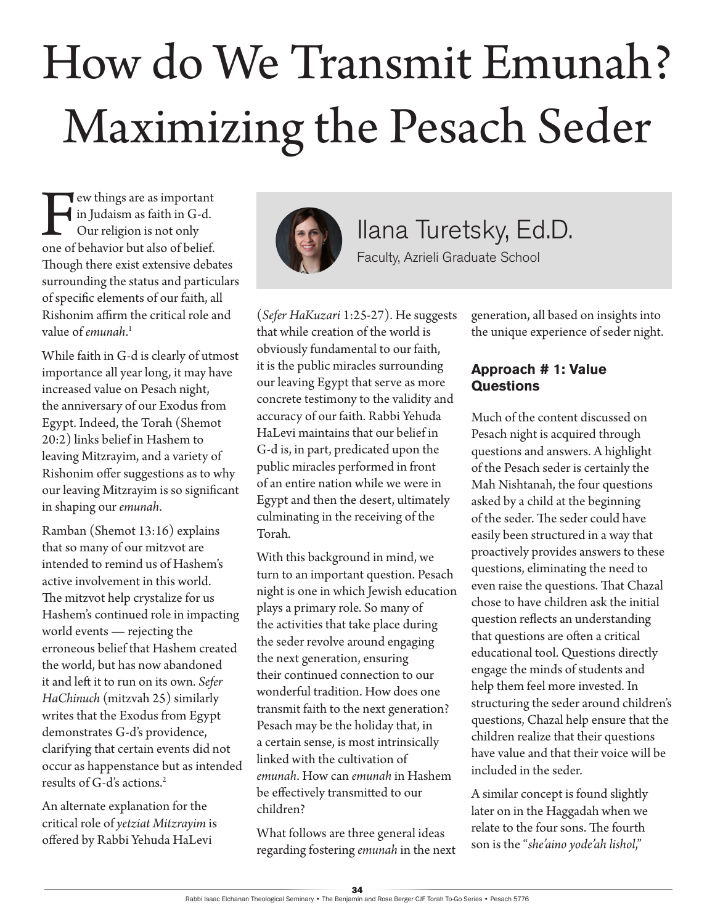# How do We Transmit Emunah? Maximizing the Pesach Seder

Few things are as important<br>in Judaism as faith in G-d.<br>Our religion is not only<br>one of behavior but also of belief. in Judaism as faith in G-d. Our religion is not only one of behavior but also of belief. Though there exist extensive debates surrounding the status and particulars of specific elements of our faith, all Rishonim affirm the critical role and value of *emunah*. 1

While faith in G-d is clearly of utmost importance all year long, it may have increased value on Pesach night, the anniversary of our Exodus from Egypt. Indeed, the Torah (Shemot 20:2) links belief in Hashem to leaving Mitzrayim, and a variety of Rishonim offer suggestions as to why our leaving Mitzrayim is so significant in shaping our *emunah*.

Ramban (Shemot 13:16) explains that so many of our mitzvot are intended to remind us of Hashem's active involvement in this world. The mitzvot help crystalize for us Hashem's continued role in impacting world events — rejecting the erroneous belief that Hashem created the world, but has now abandoned it and left it to run on its own. *Sefer HaChinuch* (mitzvah 25) similarly writes that the Exodus from Egypt demonstrates G-d's providence, clarifying that certain events did not occur as happenstance but as intended results of G-d's actions.2

An alternate explanation for the critical role of *yetziat Mitzrayim* is offered by Rabbi Yehuda HaLevi



Ilana Turetsky, Ed.D. Faculty, Azrieli Graduate School

(*Sefer HaKuzari* 1:25-27). He suggests that while creation of the world is obviously fundamental to our faith, it is the public miracles surrounding our leaving Egypt that serve as more concrete testimony to the validity and accuracy of our faith. Rabbi Yehuda HaLevi maintains that our belief in G-d is, in part, predicated upon the public miracles performed in front of an entire nation while we were in Egypt and then the desert, ultimately culminating in the receiving of the Torah.

With this background in mind, we turn to an important question. Pesach night is one in which Jewish education plays a primary role. So many of the activities that take place during the seder revolve around engaging the next generation, ensuring their continued connection to our wonderful tradition. How does one transmit faith to the next generation? Pesach may be the holiday that, in a certain sense, is most intrinsically linked with the cultivation of *emunah*. How can *emunah* in Hashem be effectively transmitted to our children?

What follows are three general ideas regarding fostering *emunah* in the next generation, all based on insights into the unique experience of seder night.

### **Approach # 1: Value Questions**

Much of the content discussed on Pesach night is acquired through questions and answers. A highlight of the Pesach seder is certainly the Mah Nishtanah, the four questions asked by a child at the beginning of the seder. The seder could have easily been structured in a way that proactively provides answers to these questions, eliminating the need to even raise the questions. That Chazal chose to have children ask the initial question reflects an understanding that questions are often a critical educational tool. Questions directly engage the minds of students and help them feel more invested. In structuring the seder around children's questions, Chazal help ensure that the children realize that their questions have value and that their voice will be included in the seder.

A similar concept is found slightly later on in the Haggadah when we relate to the four sons. The fourth son is the "*she'aino yode'ah lishol*,"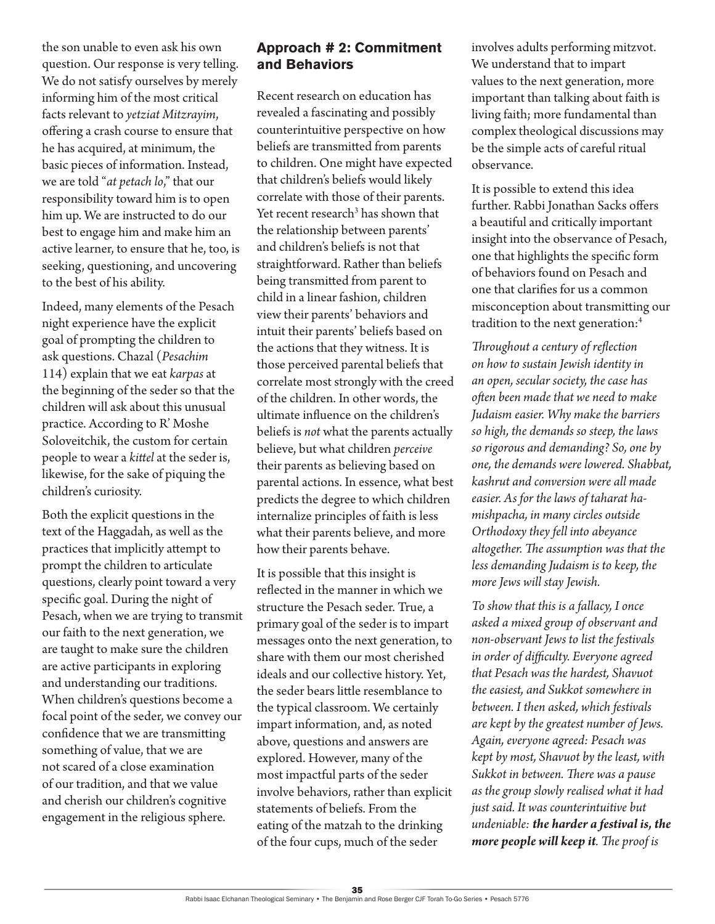the son unable to even ask his own question. Our response is very telling. We do not satisfy ourselves by merely informing him of the most critical facts relevant to *yetziat Mitzrayim*, offering a crash course to ensure that he has acquired, at minimum, the basic pieces of information. Instead, we are told "*at petach lo*," that our responsibility toward him is to open him up. We are instructed to do our best to engage him and make him an active learner, to ensure that he, too, is seeking, questioning, and uncovering to the best of his ability.

Indeed, many elements of the Pesach night experience have the explicit goal of prompting the children to ask questions. Chazal (*Pesachim* 114) explain that we eat *karpas* at the beginning of the seder so that the children will ask about this unusual practice. According to R' Moshe Soloveitchik, the custom for certain people to wear a *kittel* at the seder is, likewise, for the sake of piquing the children's curiosity.

Both the explicit questions in the text of the Haggadah, as well as the practices that implicitly attempt to prompt the children to articulate questions, clearly point toward a very specific goal. During the night of Pesach, when we are trying to transmit our faith to the next generation, we are taught to make sure the children are active participants in exploring and understanding our traditions. When children's questions become a focal point of the seder, we convey our confidence that we are transmitting something of value, that we are not scared of a close examination of our tradition, and that we value and cherish our children's cognitive engagement in the religious sphere.

### **Approach # 2: Commitment and Behaviors**

Recent research on education has revealed a fascinating and possibly counterintuitive perspective on how beliefs are transmitted from parents to children. One might have expected that children's beliefs would likely correlate with those of their parents. Yet recent research<sup>3</sup> has shown that the relationship between parents' and children's beliefs is not that straightforward. Rather than beliefs being transmitted from parent to child in a linear fashion, children view their parents' behaviors and intuit their parents' beliefs based on the actions that they witness. It is those perceived parental beliefs that correlate most strongly with the creed of the children. In other words, the ultimate influence on the children's beliefs is *not* what the parents actually believe, but what children *perceive* their parents as believing based on parental actions. In essence, what best predicts the degree to which children internalize principles of faith is less what their parents believe, and more how their parents behave.

It is possible that this insight is reflected in the manner in which we structure the Pesach seder. True, a primary goal of the seder is to impart messages onto the next generation, to share with them our most cherished ideals and our collective history. Yet, the seder bears little resemblance to the typical classroom. We certainly impart information, and, as noted above, questions and answers are explored. However, many of the most impactful parts of the seder involve behaviors, rather than explicit statements of beliefs. From the eating of the matzah to the drinking of the four cups, much of the seder

involves adults performing mitzvot. We understand that to impart values to the next generation, more important than talking about faith is living faith; more fundamental than complex theological discussions may be the simple acts of careful ritual observance.

It is possible to extend this idea further. Rabbi Jonathan Sacks offers a beautiful and critically important insight into the observance of Pesach, one that highlights the specific form of behaviors found on Pesach and one that clarifies for us a common misconception about transmitting our tradition to the next generation:<sup>4</sup>

*Throughout a century of reflection on how to sustain Jewish identity in an open, secular society, the case has often been made that we need to make Judaism easier. Why make the barriers so high, the demands so steep, the laws so rigorous and demanding? So, one by one, the demands were lowered. Shabbat, kashrut and conversion were all made easier. As for the laws of taharat hamishpacha, in many circles outside Orthodoxy they fell into abeyance altogether. The assumption was that the less demanding Judaism is to keep, the more Jews will stay Jewish.*

*To show that this is a fallacy, I once asked a mixed group of observant and non-observant Jews to list the festivals in order of difficulty. Everyone agreed that Pesach was the hardest, Shavuot the easiest, and Sukkot somewhere in between. I then asked, which festivals are kept by the greatest number of Jews. Again, everyone agreed: Pesach was kept by most, Shavuot by the least, with Sukkot in between. There was a pause as the group slowly realised what it had just said. It was counterintuitive but undeniable: the harder a festival is, the more people will keep it. The proof is*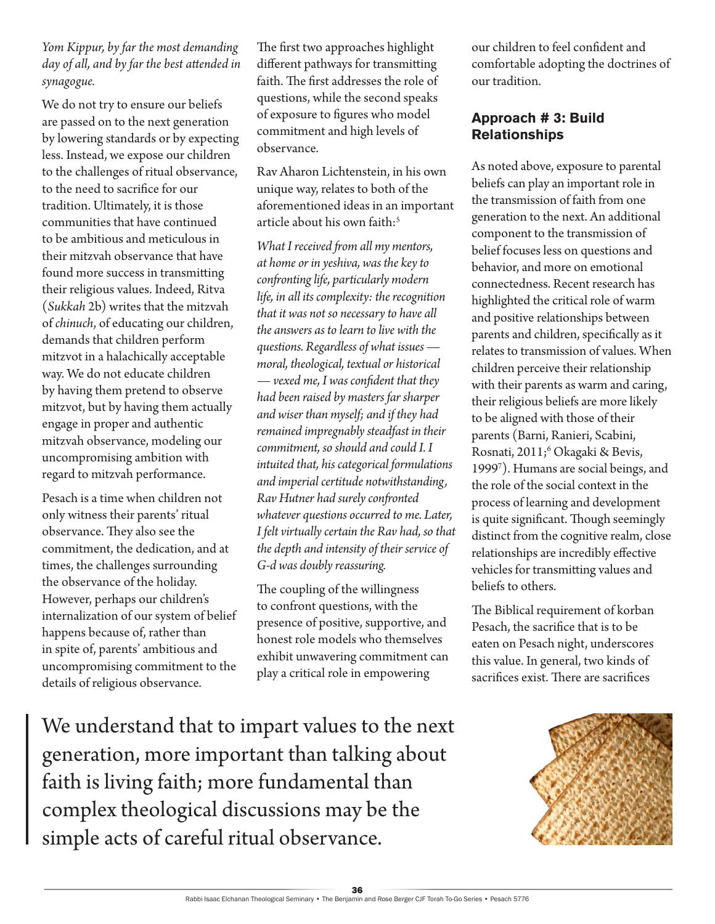#### *Yom Kippur, by far the most demanding day of all, and by far the best attended in synagogue.*

We do not try to ensure our beliefs are passed on to the next generation by lowering standards or by expecting less. Instead, we expose our children to the challenges of ritual observance, to the need to sacrifice for our tradition. Ultimately, it is those communities that have continued to be ambitious and meticulous in their mitzvah observance that have found more success in transmitting their religious values. Indeed, Ritva (*Sukkah* 2b) writes that the mitzvah of *chinuch*, of educating our children, demands that children perform mitzvot in a halachically acceptable way. We do not educate children by having them pretend to observe mitzvot, but by having them actually engage in proper and authentic mitzvah observance, modeling our uncompromising ambition with regard to mitzvah performance.

Pesach is a time when children not only witness their parents' ritual observance. They also see the commitment, the dedication, and at times, the challenges surrounding the observance of the holiday. However, perhaps our children's internalization of our system of belief happens because of, rather than in spite of, parents' ambitious and uncompromising commitment to the details of religious observance.

The first two approaches highlight different pathways for transmitting faith. The first addresses the role of questions, while the second speaks of exposure to figures who model commitment and high levels of observance.

Rav Aharon Lichtenstein, in his own unique way, relates to both of the aforementioned ideas in an important article about his own faith: $5$ 

*What I received from all my mentors, at home or in yeshiva, was the key to confronting life, particularly modern life, in all its complexity: the recognition that it was not so necessary to have all the answers as to learn to live with the questions. Regardless of what issues moral, theological, textual or historical — vexed me, I was confident that they had been raised by masters far sharper and wiser than myself; and if they had remained impregnably steadfast in their commitment, so should and could I. I intuited that, his categorical formulations and imperial certitude notwithstanding, Rav Hutner had surely confronted whatever questions occurred to me. Later, I felt virtually certain the Rav had, so that the depth and intensity of their service of G-d was doubly reassuring.*

The coupling of the willingness to confront questions, with the presence of positive, supportive, and honest role models who themselves exhibit unwavering commitment can play a critical role in empowering

We understand that to impart values to the next generation, more important than talking about faith is living faith; more fundamental than complex theological discussions may be the simple acts of careful ritual observance.

our children to feel confident and comfortable adopting the doctrines of our tradition.

## **Approach # 3: Build Relationships**

As noted above, exposure to parental beliefs can play an important role in the transmission of faith from one generation to the next. An additional component to the transmission of belief focuses less on questions and behavior, and more on emotional connectedness. Recent research has highlighted the critical role of warm and positive relationships between parents and children, specifically as it relates to transmission of values. When children perceive their relationship with their parents as warm and caring, their religious beliefs are more likely to be aligned with those of their parents (Barni, Ranieri, Scabini, Rosnati, 2011;<sup>6</sup> Okagaki & Bevis, 19997 ). Humans are social beings, and the role of the social context in the process of learning and development is quite significant. Though seemingly distinct from the cognitive realm, close relationships are incredibly effective vehicles for transmitting values and beliefs to others.

The Biblical requirement of korban Pesach, the sacrifice that is to be eaten on Pesach night, underscores this value. In general, two kinds of sacrifices exist. There are sacrifices